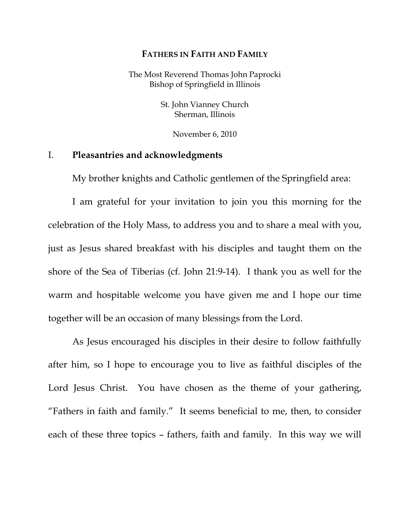#### **FATHERS IN FAITH AND FAMILY**

The Most Reverend Thomas John Paprocki Bishop of Springfield in Illinois

> St. John Vianney Church Sherman, Illinois

> > November 6, 2010

### I. **Pleasantries and acknowledgments**

My brother knights and Catholic gentlemen of the Springfield area:

 I am grateful for your invitation to join you this morning for the celebration of the Holy Mass, to address you and to share a meal with you, just as Jesus shared breakfast with his disciples and taught them on the shore of the Sea of Tiberias (cf. John 21:9-14). I thank you as well for the warm and hospitable welcome you have given me and I hope our time together will be an occasion of many blessings from the Lord.

 As Jesus encouraged his disciples in their desire to follow faithfully after him, so I hope to encourage you to live as faithful disciples of the Lord Jesus Christ. You have chosen as the theme of your gathering, "Fathers in faith and family." It seems beneficial to me, then, to consider each of these three topics – fathers, faith and family. In this way we will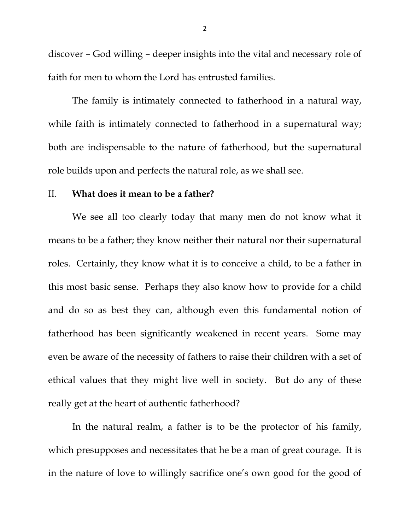discover – God willing – deeper insights into the vital and necessary role of faith for men to whom the Lord has entrusted families.

 The family is intimately connected to fatherhood in a natural way, while faith is intimately connected to fatherhood in a supernatural way; both are indispensable to the nature of fatherhood, but the supernatural role builds upon and perfects the natural role, as we shall see.

### II. **What does it mean to be a father?**

 We see all too clearly today that many men do not know what it means to be a father; they know neither their natural nor their supernatural roles. Certainly, they know what it is to conceive a child, to be a father in this most basic sense. Perhaps they also know how to provide for a child and do so as best they can, although even this fundamental notion of fatherhood has been significantly weakened in recent years. Some may even be aware of the necessity of fathers to raise their children with a set of ethical values that they might live well in society. But do any of these really get at the heart of authentic fatherhood?

 In the natural realm, a father is to be the protector of his family, which presupposes and necessitates that he be a man of great courage. It is in the nature of love to willingly sacrifice one's own good for the good of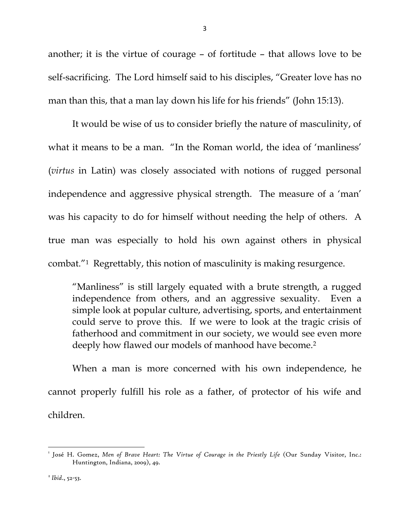another; it is the virtue of courage – of fortitude – that allows love to be self-sacrificing. The Lord himself said to his disciples, "Greater love has no man than this, that a man lay down his life for his friends" (John 15:13).

 It would be wise of us to consider briefly the nature of masculinity, of what it means to be a man. "In the Roman world, the idea of 'manliness' (*virtus* in Latin) was closely associated with notions of rugged personal independence and aggressive physical strength. The measure of a 'man' was his capacity to do for himself without needing the help of others. A true man was especially to hold his own against others in physical combat."1 Regrettably, this notion of masculinity is making resurgence.

"Manliness" is still largely equated with a brute strength, a rugged independence from others, and an aggressive sexuality. Even a simple look at popular culture, advertising, sports, and entertainment could serve to prove this. If we were to look at the tragic crisis of fatherhood and commitment in our society, we would see even more deeply how flawed our models of manhood have become.<sup>2</sup>

When a man is more concerned with his own independence, he cannot properly fulfill his role as a father, of protector of his wife and children.

<sup>1</sup> José H. Gomez, *Men of Brave Heart: The Virtue of Courage in the Priestly Life* (Our Sunday Visitor, Inc.: Huntington, Indiana, 2009), 49.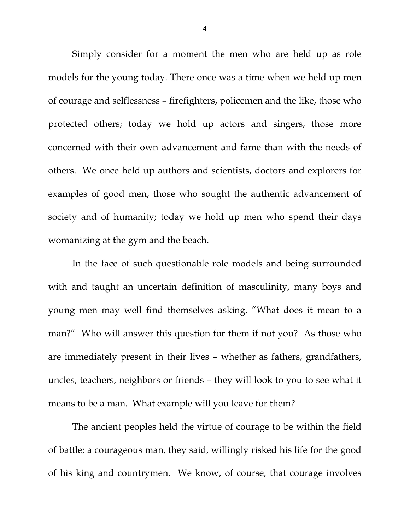Simply consider for a moment the men who are held up as role models for the young today. There once was a time when we held up men of courage and selflessness – firefighters, policemen and the like, those who protected others; today we hold up actors and singers, those more concerned with their own advancement and fame than with the needs of others. We once held up authors and scientists, doctors and explorers for examples of good men, those who sought the authentic advancement of society and of humanity; today we hold up men who spend their days womanizing at the gym and the beach.

 In the face of such questionable role models and being surrounded with and taught an uncertain definition of masculinity, many boys and young men may well find themselves asking, "What does it mean to a man?" Who will answer this question for them if not you? As those who are immediately present in their lives – whether as fathers, grandfathers, uncles, teachers, neighbors or friends – they will look to you to see what it means to be a man. What example will you leave for them?

 The ancient peoples held the virtue of courage to be within the field of battle; a courageous man, they said, willingly risked his life for the good of his king and countrymen. We know, of course, that courage involves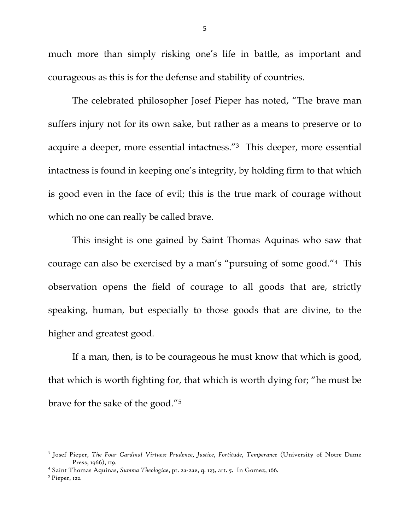much more than simply risking one's life in battle, as important and courageous as this is for the defense and stability of countries.

 The celebrated philosopher Josef Pieper has noted, "The brave man suffers injury not for its own sake, but rather as a means to preserve or to acquire a deeper, more essential intactness."3 This deeper, more essential intactness is found in keeping one's integrity, by holding firm to that which is good even in the face of evil; this is the true mark of courage without which no one can really be called brave.

 This insight is one gained by Saint Thomas Aquinas who saw that courage can also be exercised by a man's "pursuing of some good."4 This observation opens the field of courage to all goods that are, strictly speaking, human, but especially to those goods that are divine, to the higher and greatest good.

 If a man, then, is to be courageous he must know that which is good, that which is worth fighting for, that which is worth dying for; "he must be brave for the sake of the good."5

<sup>3</sup> Josef Pieper, *The Four Cardinal Virtues: Prudence, Justice, Fortitude, Temperance* (University of Notre Dame Press, 1966), 119.

<sup>&</sup>lt;sup>4</sup> Saint Thomas Aquinas, *Summa Theologiae*, pt. 2a-2ae, q. 123, art. 5. In Gomez, 166.<br><sup>5</sup> Pionar, 120

 $<sup>5</sup>$  Pieper, 122.</sup>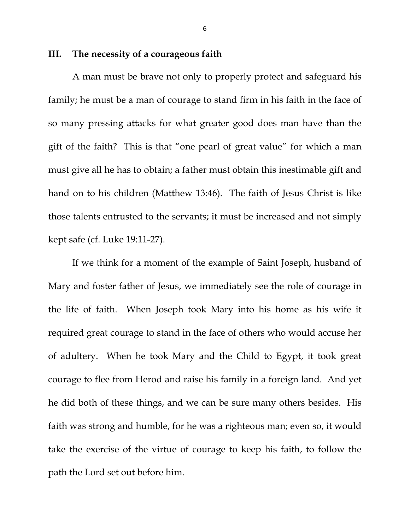# **III. The necessity of a courageous faith**

 A man must be brave not only to properly protect and safeguard his family; he must be a man of courage to stand firm in his faith in the face of so many pressing attacks for what greater good does man have than the gift of the faith? This is that "one pearl of great value" for which a man must give all he has to obtain; a father must obtain this inestimable gift and hand on to his children (Matthew 13:46). The faith of Jesus Christ is like those talents entrusted to the servants; it must be increased and not simply kept safe (cf. Luke 19:11-27).

 If we think for a moment of the example of Saint Joseph, husband of Mary and foster father of Jesus, we immediately see the role of courage in the life of faith. When Joseph took Mary into his home as his wife it required great courage to stand in the face of others who would accuse her of adultery. When he took Mary and the Child to Egypt, it took great courage to flee from Herod and raise his family in a foreign land. And yet he did both of these things, and we can be sure many others besides. His faith was strong and humble, for he was a righteous man; even so, it would take the exercise of the virtue of courage to keep his faith, to follow the path the Lord set out before him.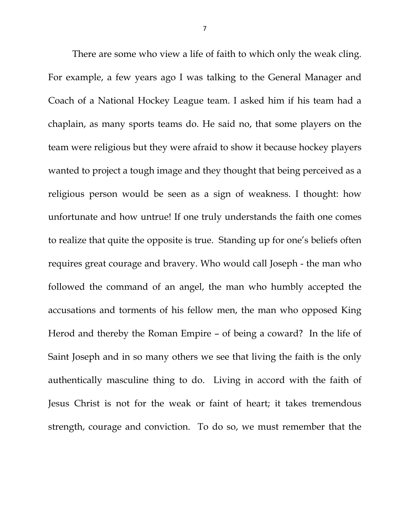There are some who view a life of faith to which only the weak cling. For example, a few years ago I was talking to the General Manager and Coach of a National Hockey League team. I asked him if his team had a chaplain, as many sports teams do. He said no, that some players on the team were religious but they were afraid to show it because hockey players wanted to project a tough image and they thought that being perceived as a religious person would be seen as a sign of weakness. I thought: how unfortunate and how untrue! If one truly understands the faith one comes to realize that quite the opposite is true. Standing up for one's beliefs often requires great courage and bravery. Who would call Joseph - the man who followed the command of an angel, the man who humbly accepted the accusations and torments of his fellow men, the man who opposed King Herod and thereby the Roman Empire – of being a coward? In the life of Saint Joseph and in so many others we see that living the faith is the only authentically masculine thing to do. Living in accord with the faith of Jesus Christ is not for the weak or faint of heart; it takes tremendous strength, courage and conviction. To do so, we must remember that the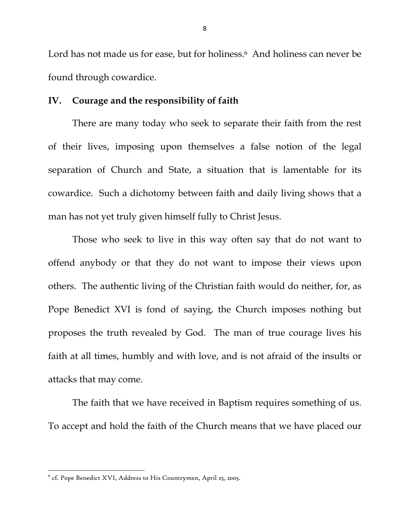Lord has not made us for ease, but for holiness.<sup>6</sup> And holiness can never be found through cowardice.

# **IV. Courage and the responsibility of faith**

There are many today who seek to separate their faith from the rest of their lives, imposing upon themselves a false notion of the legal separation of Church and State, a situation that is lamentable for its cowardice. Such a dichotomy between faith and daily living shows that a man has not yet truly given himself fully to Christ Jesus.

Those who seek to live in this way often say that do not want to offend anybody or that they do not want to impose their views upon others. The authentic living of the Christian faith would do neither, for, as Pope Benedict XVI is fond of saying, the Church imposes nothing but proposes the truth revealed by God. The man of true courage lives his faith at all times, humbly and with love, and is not afraid of the insults or attacks that may come.

 The faith that we have received in Baptism requires something of us. To accept and hold the faith of the Church means that we have placed our

 $^{\rm 6}$  cf. Pope Benedict XVI, Address to His Countrymen, April 25, 2005.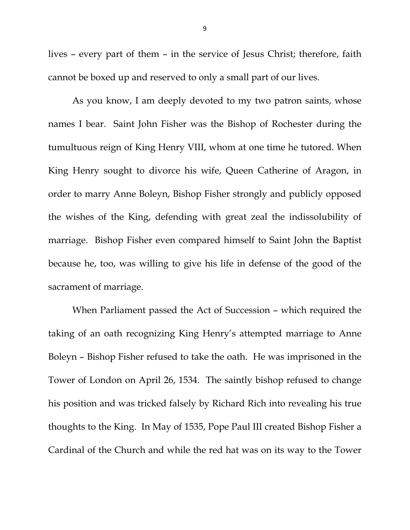lives – every part of them – in the service of Jesus Christ; therefore, faith cannot be boxed up and reserved to only a small part of our lives.

 As you know, I am deeply devoted to my two patron saints, whose names I bear. Saint John Fisher was the Bishop of Rochester during the tumultuous reign of King Henry VIII, whom at one time he tutored. When King Henry sought to divorce his wife, Queen Catherine of Aragon, in order to marry Anne Boleyn, Bishop Fisher strongly and publicly opposed the wishes of the King, defending with great zeal the indissolubility of marriage. Bishop Fisher even compared himself to Saint John the Baptist because he, too, was willing to give his life in defense of the good of the sacrament of marriage.

 When Parliament passed the Act of Succession – which required the taking of an oath recognizing King Henry's attempted marriage to Anne Boleyn – Bishop Fisher refused to take the oath. He was imprisoned in the Tower of London on April 26, 1534. The saintly bishop refused to change his position and was tricked falsely by Richard Rich into revealing his true thoughts to the King. In May of 1535, Pope Paul III created Bishop Fisher a Cardinal of the Church and while the red hat was on its way to the Tower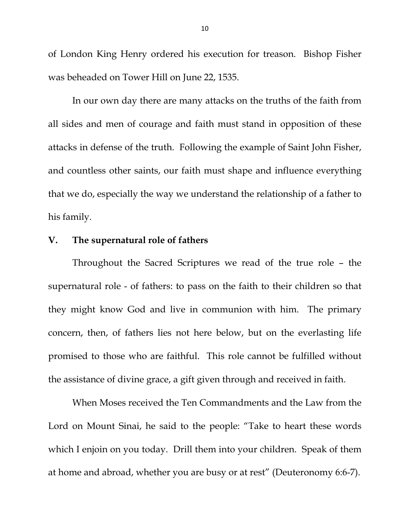of London King Henry ordered his execution for treason. Bishop Fisher was beheaded on Tower Hill on June 22, 1535.

In our own day there are many attacks on the truths of the faith from all sides and men of courage and faith must stand in opposition of these attacks in defense of the truth. Following the example of Saint John Fisher, and countless other saints, our faith must shape and influence everything that we do, especially the way we understand the relationship of a father to his family.

# **V. The supernatural role of fathers**

Throughout the Sacred Scriptures we read of the true role – the supernatural role - of fathers: to pass on the faith to their children so that they might know God and live in communion with him. The primary concern, then, of fathers lies not here below, but on the everlasting life promised to those who are faithful. This role cannot be fulfilled without the assistance of divine grace, a gift given through and received in faith.

 When Moses received the Ten Commandments and the Law from the Lord on Mount Sinai, he said to the people: "Take to heart these words which I enjoin on you today. Drill them into your children. Speak of them at home and abroad, whether you are busy or at rest" (Deuteronomy 6:6-7).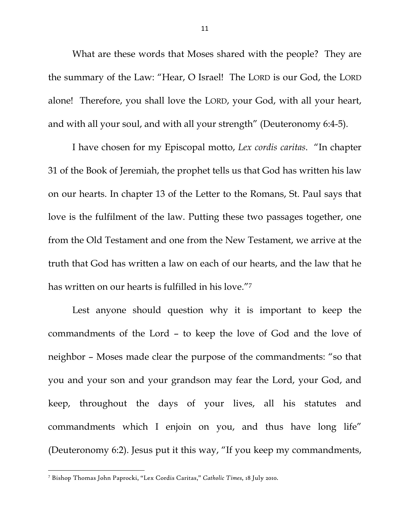What are these words that Moses shared with the people? They are the summary of the Law: "Hear, O Israel! The LORD is our God, the LORD alone! Therefore, you shall love the LORD, your God, with all your heart, and with all your soul, and with all your strength" (Deuteronomy 6:4-5).

I have chosen for my Episcopal motto, *Lex cordis caritas*. "In chapter 31 of the Book of Jeremiah, the prophet tells us that God has written his law on our hearts. In chapter 13 of the Letter to the Romans, St. Paul says that love is the fulfilment of the law. Putting these two passages together, one from the Old Testament and one from the New Testament, we arrive at the truth that God has written a law on each of our hearts, and the law that he has written on our hearts is fulfilled in his love."7

Lest anyone should question why it is important to keep the commandments of the Lord – to keep the love of God and the love of neighbor – Moses made clear the purpose of the commandments: "so that you and your son and your grandson may fear the Lord, your God, and keep, throughout the days of your lives, all his statutes and commandments which I enjoin on you, and thus have long life" (Deuteronomy 6:2). Jesus put it this way, "If you keep my commandments,

<sup>7</sup> Bishop Thomas John Paprocki, "Lex Cordis Caritas," *Catholic Times,* 18 July 2010.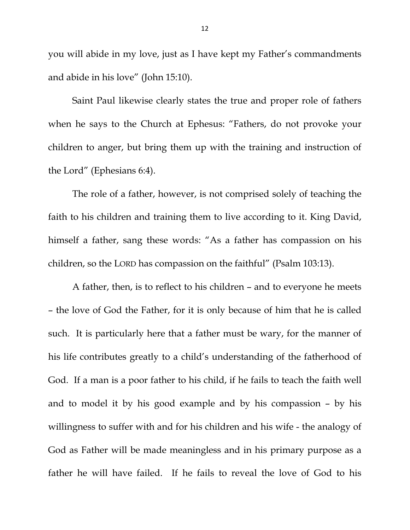you will abide in my love, just as I have kept my Father's commandments and abide in his love" (John 15:10).

Saint Paul likewise clearly states the true and proper role of fathers when he says to the Church at Ephesus: "Fathers, do not provoke your children to anger, but bring them up with the training and instruction of the Lord" (Ephesians 6:4).

The role of a father, however, is not comprised solely of teaching the faith to his children and training them to live according to it. King David, himself a father, sang these words: "As a father has compassion on his children, so the LORD has compassion on the faithful" (Psalm 103:13).

A father, then, is to reflect to his children – and to everyone he meets – the love of God the Father, for it is only because of him that he is called such. It is particularly here that a father must be wary, for the manner of his life contributes greatly to a child's understanding of the fatherhood of God. If a man is a poor father to his child, if he fails to teach the faith well and to model it by his good example and by his compassion – by his willingness to suffer with and for his children and his wife - the analogy of God as Father will be made meaningless and in his primary purpose as a father he will have failed. If he fails to reveal the love of God to his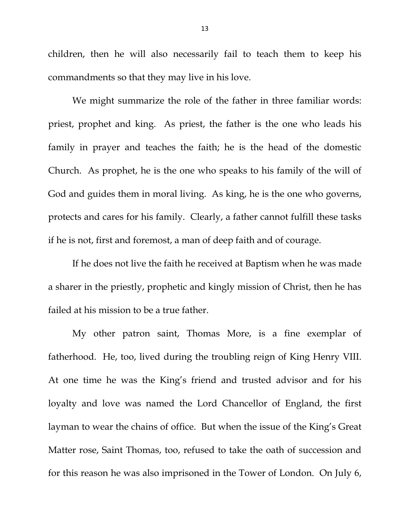children, then he will also necessarily fail to teach them to keep his commandments so that they may live in his love.

We might summarize the role of the father in three familiar words: priest, prophet and king. As priest, the father is the one who leads his family in prayer and teaches the faith; he is the head of the domestic Church. As prophet, he is the one who speaks to his family of the will of God and guides them in moral living. As king, he is the one who governs, protects and cares for his family. Clearly, a father cannot fulfill these tasks if he is not, first and foremost, a man of deep faith and of courage.

If he does not live the faith he received at Baptism when he was made a sharer in the priestly, prophetic and kingly mission of Christ, then he has failed at his mission to be a true father.

My other patron saint, Thomas More, is a fine exemplar of fatherhood. He, too, lived during the troubling reign of King Henry VIII. At one time he was the King's friend and trusted advisor and for his loyalty and love was named the Lord Chancellor of England, the first layman to wear the chains of office. But when the issue of the King's Great Matter rose, Saint Thomas, too, refused to take the oath of succession and for this reason he was also imprisoned in the Tower of London. On July 6,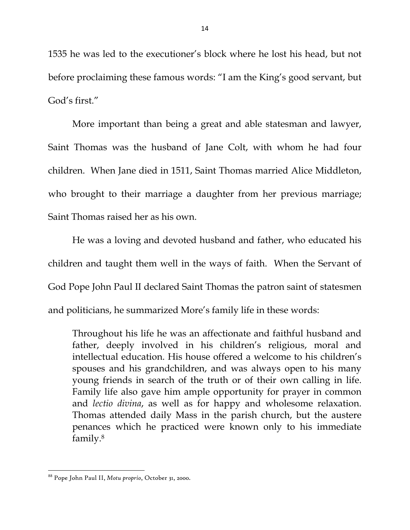1535 he was led to the executioner's block where he lost his head, but not before proclaiming these famous words: "I am the King's good servant, but God's first."

More important than being a great and able statesman and lawyer, Saint Thomas was the husband of Jane Colt, with whom he had four children. When Jane died in 1511, Saint Thomas married Alice Middleton, who brought to their marriage a daughter from her previous marriage; Saint Thomas raised her as his own.

He was a loving and devoted husband and father, who educated his children and taught them well in the ways of faith. When the Servant of God Pope John Paul II declared Saint Thomas the patron saint of statesmen and politicians, he summarized More's family life in these words:

Throughout his life he was an affectionate and faithful husband and father, deeply involved in his children's religious, moral and intellectual education. His house offered a welcome to his children's spouses and his grandchildren, and was always open to his many young friends in search of the truth or of their own calling in life. Family life also gave him ample opportunity for prayer in common and *lectio divina*, as well as for happy and wholesome relaxation. Thomas attended daily Mass in the parish church, but the austere penances which he practiced were known only to his immediate family.8

<sup>88</sup> Pope John Paul II, *Motu proprio*, October 31, 2000.